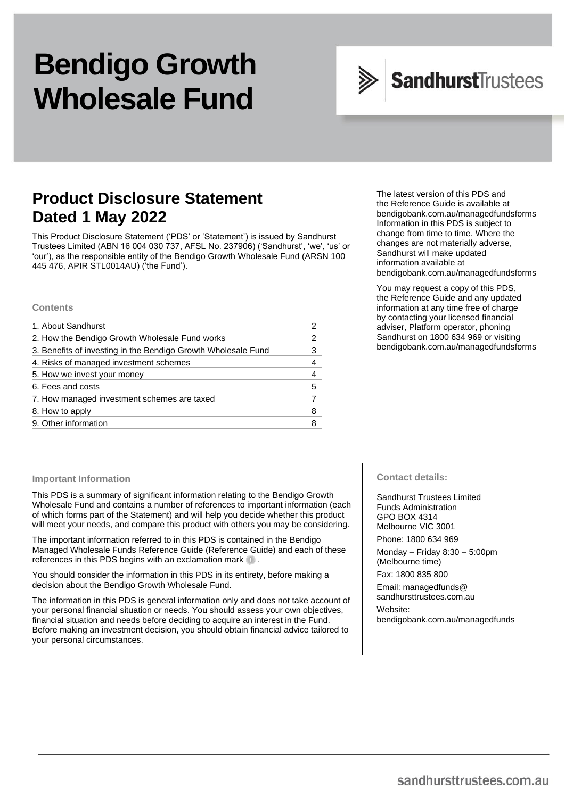# **Bendigo Growth Wholesale Fund**

# SandhurstTrustees

# **Product Disclosure Statement Dated 1 May 2022**

This Product Disclosure Statement ('PDS' or 'Statement') is issued by Sandhurst Trustees Limited (ABN 16 004 030 737, AFSL No. 237906) ('Sandhurst', 'we', 'us' or 'our'), as the responsible entity of the Bendigo Growth Wholesale Fund (ARSN 100 445 476, APIR STL0014AU) ('the Fund').

#### **Contents**

| 1. About Sandhurst                                            |   |
|---------------------------------------------------------------|---|
| 2. How the Bendigo Growth Wholesale Fund works                | 2 |
| 3. Benefits of investing in the Bendigo Growth Wholesale Fund | 3 |
| 4. Risks of managed investment schemes                        |   |
| 5. How we invest your money                                   |   |
| 6. Fees and costs                                             | 5 |
| 7. How managed investment schemes are taxed                   |   |
| 8. How to apply                                               | 8 |
| 9. Other information                                          |   |

The latest version of this PDS and the Reference Guide is available at [bendigobank.com.au/managedfundsf](https://bendigobank.com.au/managedfundsforms)orms Information in this PDS is subject to change from time to time. Where the changes are not materially adverse, Sandhurst will make updated information available at [bendigobank.com.au/managedfundsf](https://bendigobank.com.au/managedfundsforms)orms

You may request a copy of this PDS, the Reference Guide and any updated information at any time free of charge by contacting your licensed financial adviser, Platform operator, phoning Sandhurst on 1800 634 969 or visiting [bendigobank.com.au/managedfundsf](https://bendigobank.com.au/managedfundsforms)orms

#### **Important Information**

This PDS is a summary of significant information relating to the Bendigo Growth Wholesale Fund and contains a number of references to important information (each of which forms part of the Statement) and will help you decide whether this product will meet your needs, and compare this product with others you may be considering.

The important information referred to in this PDS is contained in the Bendigo Managed Wholesale Funds Reference Guide (Reference Guide) and each of these references in this PDS begins with an exclamation mark  $\blacksquare$ .

You should consider the information in this PDS in its entirety, before making a decision about the Bendigo Growth Wholesale Fund.

The information in this PDS is general information only and does not take account of your personal financial situation or needs. You should assess your own objectives, financial situation and needs before deciding to acquire an interest in the Fund. Before making an investment decision, you should obtain financial advice tailored to your personal circumstances.

**Contact details:**

Sandhurst Trustees Limited Funds Administration GPO BOX 4314 Melbourne VIC 3001 Phone: 1800 634 969

Monday – Friday 8:30 – 5:00pm (Melbourne time)

Fax: 1800 835 800

Email[: managedfunds@](mailto:managedfunds@sandhursttrustees.com.au) [sandhursttrustees.com.au](mailto:managedfunds@sandhursttrustees.com.au)

Website: [bendigobank.com.au/managedfunds](https://www.bendigobank.com.au/managedfundsforms/)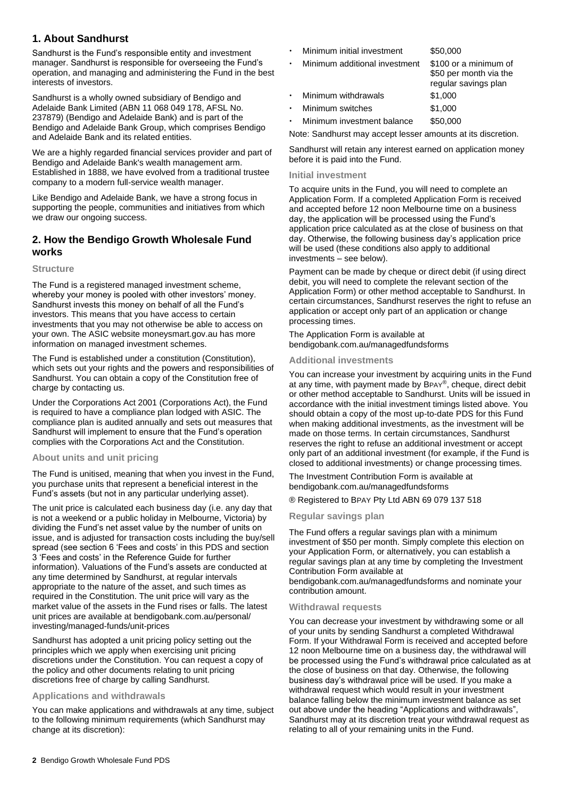# **1. About Sandhurst**

Sandhurst is the Fund's responsible entity and investment manager. Sandhurst is responsible for overseeing the Fund's operation, and managing and administering the Fund in the best interests of investors.

Sandhurst is a wholly owned subsidiary of Bendigo and Adelaide Bank Limited (ABN 11 068 049 178, AFSL No. 237879) (Bendigo and Adelaide Bank) and is part of the Bendigo and Adelaide Bank Group, which comprises Bendigo and Adelaide Bank and its related entities.

We are a highly regarded financial services provider and part of Bendigo and Adelaide Bank's wealth management arm. Established in 1888, we have evolved from a traditional trustee company to a modern full-service wealth manager.

Like Bendigo and Adelaide Bank, we have a strong focus in supporting the people, communities and initiatives from which we draw our ongoing success.

# **2. How the Bendigo Growth Wholesale Fund works**

#### **Structure**

The Fund is a registered managed investment scheme, whereby your money is pooled with other investors' money. Sandhurst invests this money on behalf of all the Fund's investors. This means that you have access to certain investments that you may not otherwise be able to access on your own. The ASIC website [moneysmart.gov.au](https://www.moneysmart.gov.au/) has more information on managed investment schemes.

The Fund is established under a constitution (Constitution), which sets out your rights and the powers and responsibilities of Sandhurst. You can obtain a copy of the Constitution free of charge by contacting us.

Under the Corporations Act 2001 (Corporations Act), the Fund is required to have a compliance plan lodged with ASIC. The compliance plan is audited annually and sets out measures that Sandhurst will implement to ensure that the Fund's operation complies with the Corporations Act and the Constitution.

#### **About units and unit pricing**

The Fund is unitised, meaning that when you invest in the Fund, you purchase units that represent a beneficial interest in the Fund's assets (but not in any particular underlying asset).

The unit price is calculated each business day (i.e. any day that is not a weekend or a public holiday in Melbourne, Victoria) by dividing the Fund's net asset value by the number of units on issue, and is adjusted for transaction costs including the buy/sell spread (see section 6 'Fees and costs' in this PDS and section 3 'Fees and costs' in the Reference Guide for further information). Valuations of the Fund's assets are conducted at any time determined by Sandhurst, at regular intervals appropriate to the nature of the asset, and such times as required in the Constitution. The unit price will vary as the market value of the assets in the Fund rises or falls. The latest unit prices are available at [bendigobank.com.au/personal/](https://www.bendigobank.com.au/personal/investing/managed-funds/unit-prices)  [investing/managed-funds/unit-prices](https://www.bendigobank.com.au/personal/investing/managed-funds/unit-prices)

Sandhurst has adopted a unit pricing policy setting out the principles which we apply when exercising unit pricing discretions under the Constitution. You can request a copy of the policy and other documents relating to unit pricing discretions free of charge by calling Sandhurst.

#### **Applications and withdrawals**

You can make applications and withdrawals at any time, subject to the following minimum requirements (which Sandhurst may change at its discretion):

- Minimum initial investment \$50,000
- Minimum additional investment \$100 or a minimum of

|           |                     | regular savings plan |
|-----------|---------------------|----------------------|
|           | Minimum withdrawals | \$1.000              |
| $\bullet$ | Minimum switches    | \$1.000              |

Minimum investment balance \$50,000

Note: Sandhurst may accept lesser amounts at its discretion.

\$50 per month via the

Sandhurst will retain any interest earned on application money before it is paid into the Fund.

#### **Initial investment**

To acquire units in the Fund, you will need to complete an Application Form. If a completed Application Form is received and accepted before 12 noon Melbourne time on a business day, the application will be processed using the Fund's application price calculated as at the close of business on that day. Otherwise, the following business day's application price will be used (these conditions also apply to additional investments – see below).

Payment can be made by cheque or direct debit (if using direct debit, you will need to complete the relevant section of the Application Form) or other method acceptable to Sandhurst. In certain circumstances, Sandhurst reserves the right to refuse an application or accept only part of an application or change processing times.

The Application Form is available at [bendigobank.com.au/managedfundsf](https://bendigobank.com.au/managedfundsforms)orms

#### **Additional investments**

You can increase your investment by acquiring units in the Fund at any time, with payment made by BPAY®, cheque, direct debit or other method acceptable to Sandhurst. Units will be issued in accordance with the initial investment timings listed above. You should obtain a copy of the most up-to-date PDS for this Fund when making additional investments, as the investment will be made on those terms. In certain circumstances, Sandhurst reserves the right to refuse an additional investment or accept only part of an additional investment (for example, if the Fund is closed to additional investments) or change processing times.

The Investment Contribution Form is available at [bendigobank.com.au/managedfundsf](https://bendigobank.com.au/managedfundsforms)orms

® Registered to BPAY Pty Ltd ABN 69 079 137 518

#### **Regular savings plan**

The Fund offers a regular savings plan with a minimum investment of \$50 per month. Simply complete this election on your Application Form, or alternatively, you can establish a regular savings plan at any time by completing the Investment Contribution Form available at

[bendigobank.com.au/managedfundsf](https://bendigobank.com.au/managedfundsforms)orms and nominate your contribution amount.

#### **Withdrawal requests**

You can decrease your investment by withdrawing some or all of your units by sending Sandhurst a completed Withdrawal Form. If your Withdrawal Form is received and accepted before 12 noon Melbourne time on a business day, the withdrawal will be processed using the Fund's withdrawal price calculated as at the close of business on that day. Otherwise, the following business day's withdrawal price will be used. If you make a withdrawal request which would result in your investment balance falling below the minimum investment balance as set out above under the heading "Applications and withdrawals", Sandhurst may at its discretion treat your withdrawal request as relating to all of your remaining units in the Fund.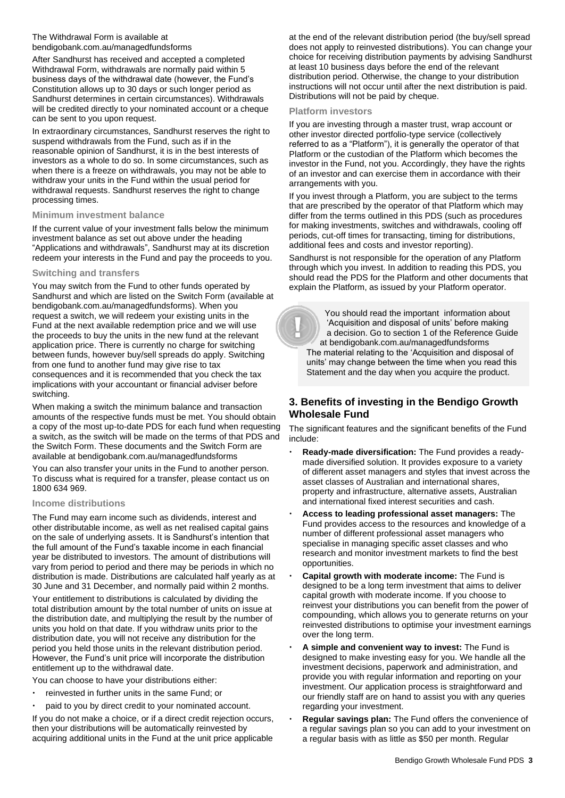#### The Withdrawal Form is available at [bendigobank.com.au/managedfundsf](https://bendigobank.com.au/managedfundsforms)orms

After Sandhurst has received and accepted a completed Withdrawal Form, withdrawals are normally paid within 5 business days of the withdrawal date (however, the Fund's Constitution allows up to 30 days or such longer period as Sandhurst determines in certain circumstances). Withdrawals will be credited directly to your nominated account or a cheque can be sent to you upon request.

In extraordinary circumstances, Sandhurst reserves the right to suspend withdrawals from the Fund, such as if in the reasonable opinion of Sandhurst, it is in the best interests of investors as a whole to do so. In some circumstances, such as when there is a freeze on withdrawals, you may not be able to withdraw your units in the Fund within the usual period for withdrawal requests. Sandhurst reserves the right to change processing times.

#### **Minimum investment balance**

If the current value of your investment falls below the minimum investment balance as set out above under the heading "Applications and withdrawals", Sandhurst may at its discretion redeem your interests in the Fund and pay the proceeds to you.

#### **Switching and transfers**

You may switch from the Fund to other funds operated by Sandhurst and which are listed on the Switch Form (available at [bendigobank.com.au/managedfundsf](https://bendigobank.com.au/managedfundsforms)orms). When you request a switch, we will redeem your existing units in the Fund at the next available redemption price and we will use the proceeds to buy the units in the new fund at the relevant application price. There is currently no charge for switching between funds, however buy/sell spreads do apply. Switching from one fund to another fund may give rise to tax consequences and it is recommended that you check the tax implications with your accountant or financial adviser before switching.

When making a switch the minimum balance and transaction amounts of the respective funds must be met. You should obtain a copy of the most up-to-date PDS for each fund when requesting a switch, as the switch will be made on the terms of that PDS and the Switch Form. These documents and the Switch Form are available at [bendigobank.com.au/managedfundsf](https://bendigobank.com.au/managedfundsforms)orms

You can also transfer your units in the Fund to another person. To discuss what is required for a transfer, please contact us on 1800 634 969.

#### **Income distributions**

The Fund may earn income such as dividends, interest and other distributable income, as well as net realised capital gains on the sale of underlying assets. It is Sandhurst's intention that the full amount of the Fund's taxable income in each financial year be distributed to investors. The amount of distributions will vary from period to period and there may be periods in which no distribution is made. Distributions are calculated half yearly as at 30 June and 31 December, and normally paid within 2 months.

Your entitlement to distributions is calculated by dividing the total distribution amount by the total number of units on issue at the distribution date, and multiplying the result by the number of units you hold on that date. If you withdraw units prior to the distribution date, you will not receive any distribution for the period you held those units in the relevant distribution period. However, the Fund's unit price will incorporate the distribution entitlement up to the withdrawal date.

You can choose to have your distributions either:

- reinvested in further units in the same Fund; or
- paid to you by direct credit to your nominated account.

If you do not make a choice, or if a direct credit rejection occurs, then your distributions will be automatically reinvested by acquiring additional units in the Fund at the unit price applicable

at the end of the relevant distribution period (the buy/sell spread does not apply to reinvested distributions). You can change your choice for receiving distribution payments by advising Sandhurst at least 10 business days before the end of the relevant distribution period. Otherwise, the change to your distribution instructions will not occur until after the next distribution is paid. Distributions will not be paid by cheque.

#### **Platform investors**

If you are investing through a master trust, wrap account or other investor directed portfolio-type service (collectively referred to as a "Platform"), it is generally the operator of that Platform or the custodian of the Platform which becomes the investor in the Fund, not you. Accordingly, they have the rights of an investor and can exercise them in accordance with their arrangements with you.

If you invest through a Platform, you are subject to the terms that are prescribed by the operator of that Platform which may differ from the terms outlined in this PDS (such as procedures for making investments, switches and withdrawals, cooling off periods, cut-off times for transacting, timing for distributions, additional fees and costs and investor reporting).

Sandhurst is not responsible for the operation of any Platform through which you invest. In addition to reading this PDS, you should read the PDS for the Platform and other documents that explain the Platform, as issued by your Platform operator.

 You should read the important information about 'Acquisition and disposal of units' before making a decision. Go to section 1 of the Reference Guide at [bendigobank.com.au/managedfundsf](https://bendigobank.com.au/managedfundsforms)orms The material relating to the 'Acquisition and disposal of units' may change between the time when you read this Statement and the day when you acquire the product.

# **3. Benefits of investing in the Bendigo Growth Wholesale Fund**

The significant features and the significant benefits of the Fund include:

- **Ready-made diversification:** The Fund provides a readymade diversified solution. It provides exposure to a variety of different asset managers and styles that invest across the asset classes of Australian and international shares, property and infrastructure, alternative assets, Australian and international fixed interest securities and cash.
- **Access to leading professional asset managers:** The Fund provides access to the resources and knowledge of a number of different professional asset managers who specialise in managing specific asset classes and who research and monitor investment markets to find the best opportunities.
- **Capital growth with moderate income:** The Fund is designed to be a long term investment that aims to deliver capital growth with moderate income. If you choose to reinvest your distributions you can benefit from the power of compounding, which allows you to generate returns on your reinvested distributions to optimise your investment earnings over the long term.
- **A simple and convenient way to invest:** The Fund is designed to make investing easy for you. We handle all the investment decisions, paperwork and administration, and provide you with regular information and reporting on your investment. Our application process is straightforward and our friendly staff are on hand to assist you with any queries regarding your investment.
- **Regular savings plan:** The Fund offers the convenience of a regular savings plan so you can add to your investment on a regular basis with as little as \$50 per month. Regular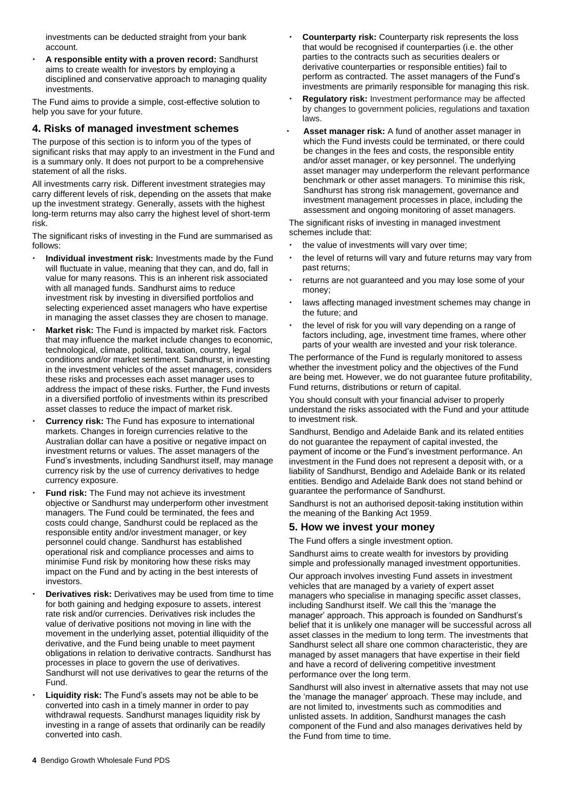investments can be deducted straight from your bank account.

 **A responsible entity with a proven record:** Sandhurst aims to create wealth for investors by employing a disciplined and conservative approach to managing quality investments.

The Fund aims to provide a simple, cost-effective solution to help you save for your future.

### **4. Risks of managed investment schemes**

The purpose of this section is to inform you of the types of significant risks that may apply to an investment in the Fund and is a summary only. It does not purport to be a comprehensive statement of all the risks.

All investments carry risk. Different investment strategies may carry different levels of risk, depending on the assets that make up the investment strategy. Generally, assets with the highest long-term returns may also carry the highest level of short-term risk.

The significant risks of investing in the Fund are summarised as follows:

- **Individual investment risk:** Investments made by the Fund will fluctuate in value, meaning that they can, and do, fall in value for many reasons. This is an inherent risk associated with all managed funds. Sandhurst aims to reduce investment risk by investing in diversified portfolios and selecting experienced asset managers who have expertise in managing the asset classes they are chosen to manage.
- **Market risk:** The Fund is impacted by market risk. Factors that may influence the market include changes to economic, technological, climate, political, taxation, country, legal conditions and/or market sentiment. Sandhurst, in investing in the investment vehicles of the asset managers, considers these risks and processes each asset manager uses to address the impact of these risks. Further, the Fund invests in a diversified portfolio of investments within its prescribed asset classes to reduce the impact of market risk.
- **Currency risk:** The Fund has exposure to international markets. Changes in foreign currencies relative to the Australian dollar can have a positive or negative impact on investment returns or values. The asset managers of the Fund's investments, including Sandhurst itself, may manage currency risk by the use of currency derivatives to hedge currency exposure.
- **Fund risk:** The Fund may not achieve its investment objective or Sandhurst may underperform other investment managers. The Fund could be terminated, the fees and costs could change, Sandhurst could be replaced as the responsible entity and/or investment manager, or key personnel could change. Sandhurst has established operational risk and compliance processes and aims to minimise Fund risk by monitoring how these risks may impact on the Fund and by acting in the best interests of investors.
- **Derivatives risk:** Derivatives may be used from time to time for both gaining and hedging exposure to assets, interest rate risk and/or currencies. Derivatives risk includes the value of derivative positions not moving in line with the movement in the underlying asset, potential illiquidity of the derivative, and the Fund being unable to meet payment obligations in relation to derivative contracts. Sandhurst has processes in place to govern the use of derivatives. Sandhurst will not use derivatives to gear the returns of the Fund.
- **Liquidity risk:** The Fund's assets may not be able to be converted into cash in a timely manner in order to pay withdrawal requests. Sandhurst manages liquidity risk by investing in a range of assets that ordinarily can be readily converted into cash.
- **Counterparty risk:** Counterparty risk represents the loss that would be recognised if counterparties (i.e. the other parties to the contracts such as securities dealers or derivative counterparties or responsible entities) fail to perform as contracted. The asset managers of the Fund's investments are primarily responsible for managing this risk.
- **Regulatory risk:** Investment performance may be affected by changes to government policies, regulations and taxation laws.
- **Asset manager risk:** A fund of another asset manager in which the Fund invests could be terminated, or there could be changes in the fees and costs, the responsible entity and/or asset manager, or key personnel. The underlying asset manager may underperform the relevant performance benchmark or other asset managers. To minimise this risk, Sandhurst has strong risk management, governance and investment management processes in place, including the assessment and ongoing monitoring of asset managers.

The significant risks of investing in managed investment schemes include that:

- the value of investments will vary over time;
- the level of returns will vary and future returns may vary from past returns;
- returns are not guaranteed and you may lose some of your money;
- laws affecting managed investment schemes may change in the future; and
- the level of risk for you will vary depending on a range of factors including, age, investment time frames, where other parts of your wealth are invested and your risk tolerance.

The performance of the Fund is regularly monitored to assess whether the investment policy and the objectives of the Fund are being met. However, we do not guarantee future profitability, Fund returns, distributions or return of capital.

You should consult with your financial adviser to properly understand the risks associated with the Fund and your attitude to investment risk.

Sandhurst, Bendigo and Adelaide Bank and its related entities do not guarantee the repayment of capital invested, the payment of income or the Fund's investment performance. An investment in the Fund does not represent a deposit with, or a liability of Sandhurst, Bendigo and Adelaide Bank or its related entities. Bendigo and Adelaide Bank does not stand behind or guarantee the performance of Sandhurst.

Sandhurst is not an authorised deposit-taking institution within the meaning of the Banking Act 1959.

# **5. How we invest your money**

The Fund offers a single investment option.

Sandhurst aims to create wealth for investors by providing simple and professionally managed investment opportunities.

Our approach involves investing Fund assets in investment vehicles that are managed by a variety of expert asset managers who specialise in managing specific asset classes, including Sandhurst itself. We call this the 'manage the manager' approach. This approach is founded on Sandhurst's belief that it is unlikely one manager will be successful across all asset classes in the medium to long term. The investments that Sandhurst select all share one common characteristic, they are managed by asset managers that have expertise in their field and have a record of delivering competitive investment performance over the long term.

Sandhurst will also invest in alternative assets that may not use the 'manage the manager' approach. These may include, and are not limited to, investments such as commodities and unlisted assets. In addition, Sandhurst manages the cash component of the Fund and also manages derivatives held by the Fund from time to time.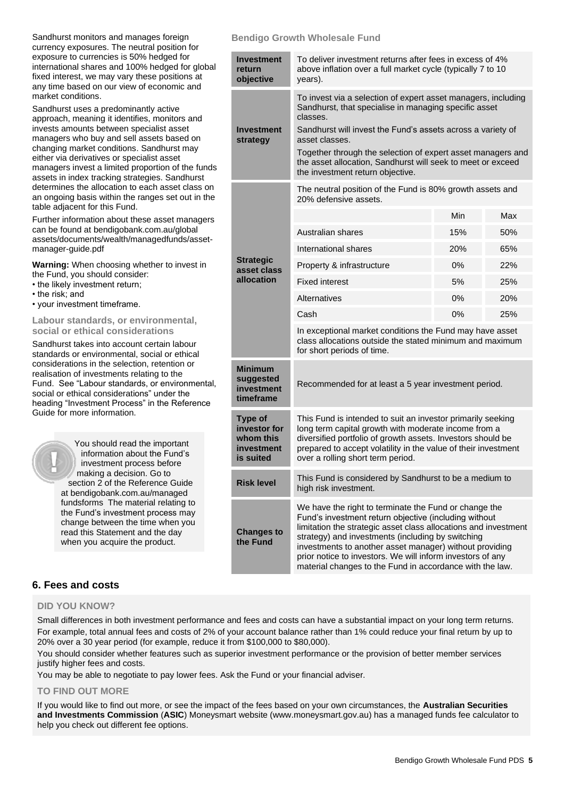| Sandhurst monitors and manages foreign          |
|-------------------------------------------------|
| currency exposures. The neutral position for    |
| exposure to currencies is 50% hedged for        |
| international shares and 100% hedged for global |
| fixed interest, we may vary these positions at  |
| any time based on our view of economic and      |
| market conditions.                              |

Sandhurst uses a predominantly active approach, meaning it identifies, monitors and invests amounts between specialist asset managers who buy and sell assets based on changing market conditions. Sandhurst may either via derivatives or specialist asset managers invest a limited proportion of the funds assets in index tracking strategies. Sandhurst determines the allocation to each asset class on an ongoing basis within the ranges set out in the table adjacent for this Fund.

Further information about these asset managers can be found a[t bendigobank.com.au/global](https://www.bendigobank.com.au/globalassets/documents/wealth/managedfunds/asset-manager-guide.pdf) [assets/documents/wealth/managedfunds/asset](https://www.bendigobank.com.au/globalassets/documents/wealth/managedfunds/asset-manager-guide.pdf)[manager-guide.pdf](https://www.bendigobank.com.au/globalassets/documents/wealth/managedfunds/asset-manager-guide.pdf)

**Warning:** When choosing whether to invest in the Fund, you should consider:

- the likely investment return;
- the risk; and
- your investment timeframe.

#### **Labour standards, or environmental, social or ethical considerations**

Sandhurst takes into account certain labour standards or environmental, social or ethical considerations in the selection, retention or realisation of investments relating to the Fund. See "Labour standards, or environmental, social or ethical considerations" under the heading "Investment Process" in the Reference Guide for more information.

> You should read the important information about the Fund's investment process before making a decision. Go to section 2 of the Reference Guide at [bendigobank.com.au/managed](https://bendigobank.com.au/managedfundsforms) [fundsf](https://bendigobank.com.au/managedfundsforms)orms The material relating to the Fund's investment process may change between the time when you read this Statement and the day when you acquire the product.

#### **Bendigo Growth Wholesale Fund**

| <b>Investment</b><br>return<br>objective                               | To deliver investment returns after fees in excess of 4%<br>above inflation over a full market cycle (typically 7 to 10<br>years).                                                                                                                                                                                                                                                                                          |     |     |  |
|------------------------------------------------------------------------|-----------------------------------------------------------------------------------------------------------------------------------------------------------------------------------------------------------------------------------------------------------------------------------------------------------------------------------------------------------------------------------------------------------------------------|-----|-----|--|
| <b>Investment</b><br>strategy                                          | To invest via a selection of expert asset managers, including<br>Sandhurst, that specialise in managing specific asset<br>classes.<br>Sandhurst will invest the Fund's assets across a variety of<br>asset classes.<br>Together through the selection of expert asset managers and<br>the asset allocation, Sandhurst will seek to meet or exceed<br>the investment return objective.                                       |     |     |  |
|                                                                        | The neutral position of the Fund is 80% growth assets and<br>20% defensive assets.                                                                                                                                                                                                                                                                                                                                          |     |     |  |
|                                                                        |                                                                                                                                                                                                                                                                                                                                                                                                                             | Min | Max |  |
|                                                                        | Australian shares                                                                                                                                                                                                                                                                                                                                                                                                           | 15% | 50% |  |
|                                                                        | International shares                                                                                                                                                                                                                                                                                                                                                                                                        | 20% | 65% |  |
| <b>Strategic</b><br>asset class                                        | Property & infrastructure                                                                                                                                                                                                                                                                                                                                                                                                   | 0%  | 22% |  |
| allocation                                                             | <b>Fixed interest</b>                                                                                                                                                                                                                                                                                                                                                                                                       | 5%  | 25% |  |
|                                                                        | Alternatives                                                                                                                                                                                                                                                                                                                                                                                                                | 0%  | 20% |  |
|                                                                        | Cash                                                                                                                                                                                                                                                                                                                                                                                                                        | 0%  | 25% |  |
|                                                                        | In exceptional market conditions the Fund may have asset<br>class allocations outside the stated minimum and maximum<br>for short periods of time.                                                                                                                                                                                                                                                                          |     |     |  |
| <b>Minimum</b><br>suggested<br>investment<br>timeframe                 | Recommended for at least a 5 year investment period.                                                                                                                                                                                                                                                                                                                                                                        |     |     |  |
| <b>Type of</b><br>investor for<br>whom this<br>investment<br>is suited | This Fund is intended to suit an investor primarily seeking<br>long term capital growth with moderate income from a<br>diversified portfolio of growth assets. Investors should be<br>prepared to accept volatility in the value of their investment<br>over a rolling short term period.                                                                                                                                   |     |     |  |
| <b>Risk level</b>                                                      | This Fund is considered by Sandhurst to be a medium to<br>high risk investment.                                                                                                                                                                                                                                                                                                                                             |     |     |  |
| <b>Changes to</b><br>the Fund                                          | We have the right to terminate the Fund or change the<br>Fund's investment return objective (including without<br>limitation the strategic asset class allocations and investment<br>strategy) and investments (including by switching<br>investments to another asset manager) without providing<br>prior notice to investors. We will inform investors of any<br>material changes to the Fund in accordance with the law. |     |     |  |

# **6. Fees and costs**

#### **DID YOU KNOW?**

Small differences in both investment performance and fees and costs can have a substantial impact on your long term returns. For example, total annual fees and costs of 2% of your account balance rather than 1% could reduce your final return by up to 20% over a 30 year period (for example, reduce it from \$100,000 to \$80,000).

You should consider whether features such as superior investment performance or the provision of better member services justify higher fees and costs.

You may be able to negotiate to pay lower fees. Ask the Fund or your financial adviser.

#### **TO FIND OUT MORE**

If you would like to find out more, or see the impact of the fees based on your own circumstances, the **Australian Securities and Investments Commission** (**ASIC**) Moneysmart website (www[.moneysmart.gov.au\)](https://www.moneysmart.gov.au/) has a managed funds fee calculator to help you check out different fee options.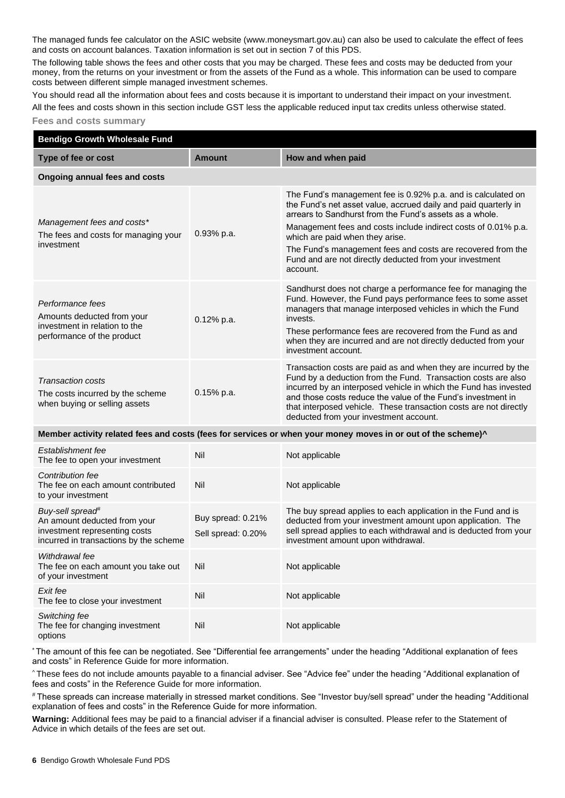The managed funds fee calculator on the ASIC website (ww[w.moneysmart.gov.au\)](https://www.moneysmart.gov.au/) can also be used to calculate the effect of fees and costs on account balances. Taxation information is set out in section 7 of this PDS.

The following table shows the fees and other costs that you may be charged. These fees and costs may be deducted from your money, from the returns on your investment or from the assets of the Fund as a whole. This information can be used to compare costs between different simple managed investment schemes.

You should read all the information about fees and costs because it is important to understand their impact on your investment. All the fees and costs shown in this section include GST less the applicable reduced input tax credits unless otherwise stated.

#### **Fees and costs summary**

| <b>Bendigo Growth Wholesale Fund</b>                                                                                                    |                                         |                                                                                                                                                                                                                                                                                                                                                                                                                                       |  |
|-----------------------------------------------------------------------------------------------------------------------------------------|-----------------------------------------|---------------------------------------------------------------------------------------------------------------------------------------------------------------------------------------------------------------------------------------------------------------------------------------------------------------------------------------------------------------------------------------------------------------------------------------|--|
| Type of fee or cost                                                                                                                     | <b>Amount</b>                           | How and when paid                                                                                                                                                                                                                                                                                                                                                                                                                     |  |
| <b>Ongoing annual fees and costs</b>                                                                                                    |                                         |                                                                                                                                                                                                                                                                                                                                                                                                                                       |  |
| Management fees and costs*<br>The fees and costs for managing your<br>investment                                                        | 0.93% p.a.                              | The Fund's management fee is 0.92% p.a. and is calculated on<br>the Fund's net asset value, accrued daily and paid quarterly in<br>arrears to Sandhurst from the Fund's assets as a whole.<br>Management fees and costs include indirect costs of 0.01% p.a.<br>which are paid when they arise.<br>The Fund's management fees and costs are recovered from the<br>Fund and are not directly deducted from your investment<br>account. |  |
| Performance fees<br>Amounts deducted from your<br>investment in relation to the<br>performance of the product                           | 0.12% p.a.                              | Sandhurst does not charge a performance fee for managing the<br>Fund. However, the Fund pays performance fees to some asset<br>managers that manage interposed vehicles in which the Fund<br>invests.<br>These performance fees are recovered from the Fund as and<br>when they are incurred and are not directly deducted from your<br>investment account.                                                                           |  |
| <b>Transaction costs</b><br>The costs incurred by the scheme<br>when buying or selling assets                                           | 0.15% p.a.                              | Transaction costs are paid as and when they are incurred by the<br>Fund by a deduction from the Fund. Transaction costs are also<br>incurred by an interposed vehicle in which the Fund has invested<br>and those costs reduce the value of the Fund's investment in<br>that interposed vehicle. These transaction costs are not directly<br>deducted from your investment account.                                                   |  |
|                                                                                                                                         |                                         | Member activity related fees and costs (fees for services or when your money moves in or out of the scheme) <sup>^</sup>                                                                                                                                                                                                                                                                                                              |  |
| Establishment fee<br>The fee to open your investment                                                                                    | Nil                                     | Not applicable                                                                                                                                                                                                                                                                                                                                                                                                                        |  |
| Contribution fee<br>The fee on each amount contributed<br>to your investment                                                            | Nil                                     | Not applicable                                                                                                                                                                                                                                                                                                                                                                                                                        |  |
| Buy-sell spread <sup>#</sup><br>An amount deducted from your<br>investment representing costs<br>incurred in transactions by the scheme | Buy spread: 0.21%<br>Sell spread: 0.20% | The buy spread applies to each application in the Fund and is<br>deducted from your investment amount upon application. The<br>sell spread applies to each withdrawal and is deducted from your<br>investment amount upon withdrawal.                                                                                                                                                                                                 |  |
| Withdrawal fee<br>The fee on each amount you take out<br>of your investment                                                             | Nil                                     | Not applicable                                                                                                                                                                                                                                                                                                                                                                                                                        |  |
| Exit fee<br>The fee to close your investment                                                                                            | Nil                                     | Not applicable                                                                                                                                                                                                                                                                                                                                                                                                                        |  |
| Switching fee<br>The fee for changing investment<br>options                                                                             | Nil                                     | Not applicable                                                                                                                                                                                                                                                                                                                                                                                                                        |  |

\* The amount of this fee can be negotiated. See "Differential fee arrangements" under the heading "Additional explanation of fees and costs" in Reference Guide for more information.

^ These fees do not include amounts payable to a financial adviser. See "Advice fee" under the heading "Additional explanation of fees and costs" in the Reference Guide for more information.

# These spreads can increase materially in stressed market conditions. See "Investor buy/sell spread" under the heading "Additional explanation of fees and costs" in the Reference Guide for more information.

**Warning:** Additional fees may be paid to a financial adviser if a financial adviser is consulted. Please refer to the Statement of Advice in which details of the fees are set out.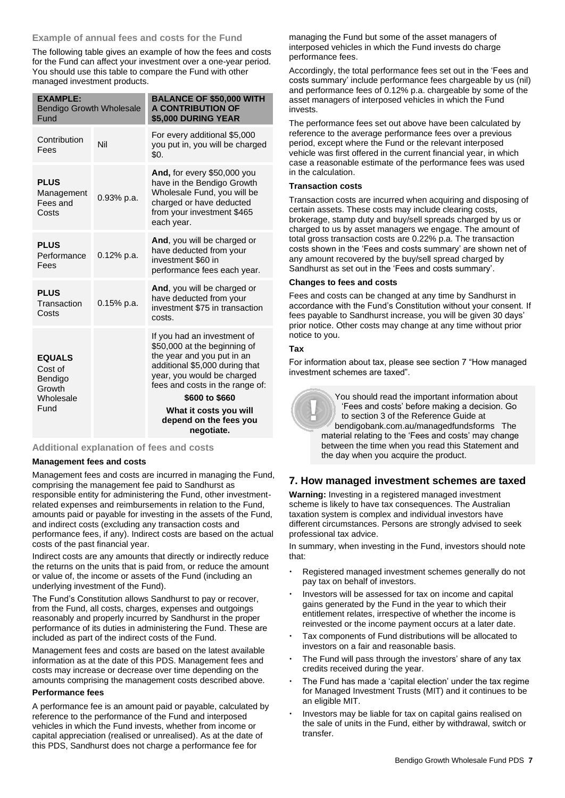# **Example of annual fees and costs for the Fund**

The following table gives an example of how the fees and costs for the Fund can affect your investment over a one-year period. You should use this table to compare the Fund with other managed investment products.

| <b>EXAMPLE:</b><br><b>Bendigo Growth Wholesale</b><br>Fund |               | <b>BALANCE OF \$50,000 WITH</b><br><b>A CONTRIBUTION OF</b><br>\$5,000 DURING YEAR                                                                                                                             |
|------------------------------------------------------------|---------------|----------------------------------------------------------------------------------------------------------------------------------------------------------------------------------------------------------------|
| Contribution<br>Fees                                       | Nil           | For every additional \$5,000<br>you put in, you will be charged<br>\$0.                                                                                                                                        |
| <b>PLUS</b><br>Management<br>Fees and<br>Costs             | 0.93% p.a.    | And, for every \$50,000 you<br>have in the Bendigo Growth<br>Wholesale Fund, you will be<br>charged or have deducted<br>from your investment \$465<br>each year.                                               |
| <b>PLUS</b><br>Performance<br>Fees                         | $0.12\%$ p.a. | And, you will be charged or<br>have deducted from your<br>investment \$60 in<br>performance fees each year.                                                                                                    |
| <b>PLUS</b><br>Transaction<br>Costs                        | $0.15%$ p.a.  | And, you will be charged or<br>have deducted from your<br>investment \$75 in transaction<br>costs.                                                                                                             |
| <b>EQUALS</b><br>Cost of<br>Bendigo<br>Growth<br>Wholesale |               | If you had an investment of<br>\$50,000 at the beginning of<br>the year and you put in an<br>additional \$5,000 during that<br>year, you would be charged<br>fees and costs in the range of:<br>\$600 to \$660 |
| Fund                                                       |               | What it costs you will                                                                                                                                                                                         |
|                                                            |               | depend on the fees you<br>negotiate.                                                                                                                                                                           |

**Additional explanation of fees and costs**

#### **Management fees and costs**

Management fees and costs are incurred in managing the Fund, comprising the management fee paid to Sandhurst as responsible entity for administering the Fund, other investmentrelated expenses and reimbursements in relation to the Fund, amounts paid or payable for investing in the assets of the Fund, and indirect costs (excluding any transaction costs and performance fees, if any). Indirect costs are based on the actual costs of the past financial year.

Indirect costs are any amounts that directly or indirectly reduce the returns on the units that is paid from, or reduce the amount or value of, the income or assets of the Fund (including an underlying investment of the Fund).

The Fund's Constitution allows Sandhurst to pay or recover, from the Fund, all costs, charges, expenses and outgoings reasonably and properly incurred by Sandhurst in the proper performance of its duties in administering the Fund. These are included as part of the indirect costs of the Fund.

Management fees and costs are based on the latest available information as at the date of this PDS. Management fees and costs may increase or decrease over time depending on the amounts comprising the management costs described above.

#### **Performance fees**

A performance fee is an amount paid or payable, calculated by reference to the performance of the Fund and interposed vehicles in which the Fund invests, whether from income or capital appreciation (realised or unrealised). As at the date of this PDS, Sandhurst does not charge a performance fee for

managing the Fund but some of the asset managers of interposed vehicles in which the Fund invests do charge performance fees.

Accordingly, the total performance fees set out in the 'Fees and costs summary' include performance fees chargeable by us (nil) and performance fees of 0.12% p.a. chargeable by some of the asset managers of interposed vehicles in which the Fund invests.

The performance fees set out above have been calculated by reference to the average performance fees over a previous period, except where the Fund or the relevant interposed vehicle was first offered in the current financial year, in which case a reasonable estimate of the performance fees was used in the calculation.

#### **Transaction costs**

Transaction costs are incurred when acquiring and disposing of certain assets. These costs may include clearing costs, brokerage, stamp duty and buy/sell spreads charged by us or charged to us by asset managers we engage. The amount of total gross transaction costs are 0.22% p.a. The transaction costs shown in the 'Fees and costs summary' are shown net of any amount recovered by the buy/sell spread charged by Sandhurst as set out in the 'Fees and costs summary'.

#### **Changes to fees and costs**

Fees and costs can be changed at any time by Sandhurst in accordance with the Fund's Constitution without your consent. If fees payable to Sandhurst increase, you will be given 30 days' prior notice. Other costs may change at any time without prior notice to you.

#### **Tax**

For information about tax, please see section 7 "How managed investment schemes are taxed".



You should read the important information about 'Fees and costs' before making a decision. Go to section 3 of the Reference Guide at [bendigobank.com.au/managedfundsf](https://bendigobank.com.au/managedfundsforms)orms The material relating to the 'Fees and costs' may change between the time when you read this Statement and the day when you acquire the product.

# **7. How managed investment schemes are taxed**

**Warning:** Investing in a registered managed investment scheme is likely to have tax consequences. The Australian taxation system is complex and individual investors have different circumstances. Persons are strongly advised to seek professional tax advice.

In summary, when investing in the Fund, investors should note that:

- Registered managed investment schemes generally do not pay tax on behalf of investors.
- Investors will be assessed for tax on income and capital gains generated by the Fund in the year to which their entitlement relates, irrespective of whether the income is reinvested or the income payment occurs at a later date.
- Tax components of Fund distributions will be allocated to investors on a fair and reasonable basis.
- The Fund will pass through the investors' share of any tax credits received during the year.
- The Fund has made a 'capital election' under the tax regime for Managed Investment Trusts (MIT) and it continues to be an eligible MIT.
- Investors may be liable for tax on capital gains realised on the sale of units in the Fund, either by withdrawal, switch or transfer.